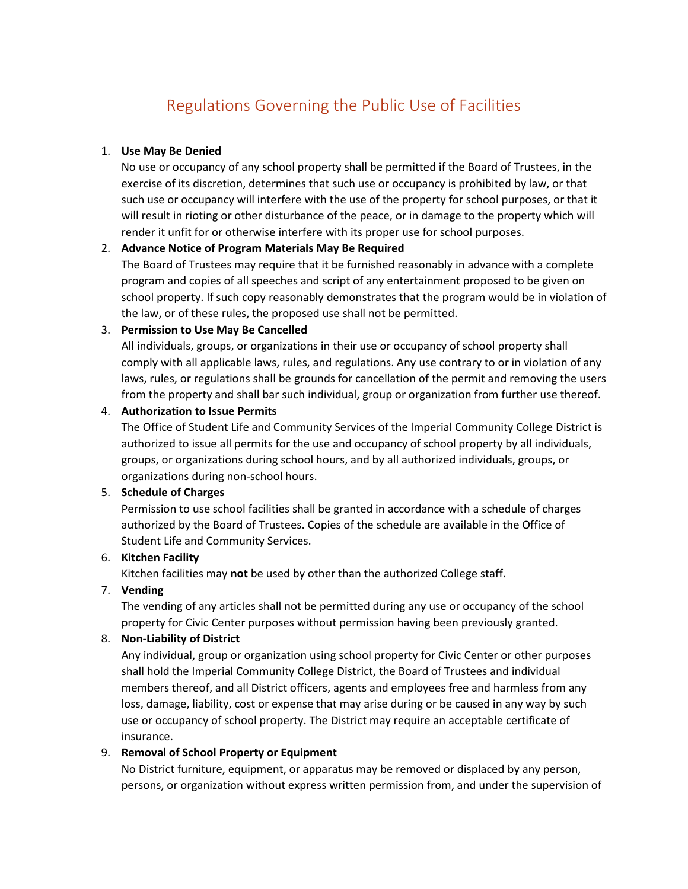# Regulations Governing the Public Use of Facilities

## 1. **Use May Be Denied**

No use or occupancy of any school property shall be permitted if the Board of Trustees, in the exercise of its discretion, determines that such use or occupancy is prohibited by law, or that such use or occupancy will interfere with the use of the property for school purposes, or that it will result in rioting or other disturbance of the peace, or in damage to the property which will render it unfit for or otherwise interfere with its proper use for school purposes.

## 2. **Advance Notice of Program Materials May Be Required**

The Board of Trustees may require that it be furnished reasonably in advance with a complete program and copies of all speeches and script of any entertainment proposed to be given on school property. If such copy reasonably demonstrates that the program would be in violation of the law, or of these rules, the proposed use shall not be permitted.

## 3. **Permission to Use May Be Cancelled**

All individuals, groups, or organizations in their use or occupancy of school property shall comply with all applicable laws, rules, and regulations. Any use contrary to or in violation of any laws, rules, or regulations shall be grounds for cancellation of the permit and removing the users from the property and shall bar such individual, group or organization from further use thereof.

## 4. **Authorization to Issue Permits**

The Office of Student Life and Community Services of the lmperial Community College District is authorized to issue all permits for the use and occupancy of school property by all individuals, groups, or organizations during school hours, and by all authorized individuals, groups, or organizations during non-school hours.

# 5. **Schedule of Charges**

Permission to use school facilities shall be granted in accordance with a schedule of charges authorized by the Board of Trustees. Copies of the schedule are available in the Office of Student Life and Community Services.

# 6. **Kitchen Facility**

Kitchen facilities may **not** be used by other than the authorized College staff.

# 7. **Vending**

The vending of any articles shall not be permitted during any use or occupancy of the school property for Civic Center purposes without permission having been previously granted.

# 8. **Non-Liability of District**

Any individual, group or organization using school property for Civic Center or other purposes shall hold the Imperial Community College District, the Board of Trustees and individual members thereof, and all District officers, agents and employees free and harmless from any loss, damage, liability, cost or expense that may arise during or be caused in any way by such use or occupancy of school property. The District may require an acceptable certificate of insurance.

# 9. **Removal of School Property or Equipment**

No District furniture, equipment, or apparatus may be removed or displaced by any person, persons, or organization without express written permission from, and under the supervision of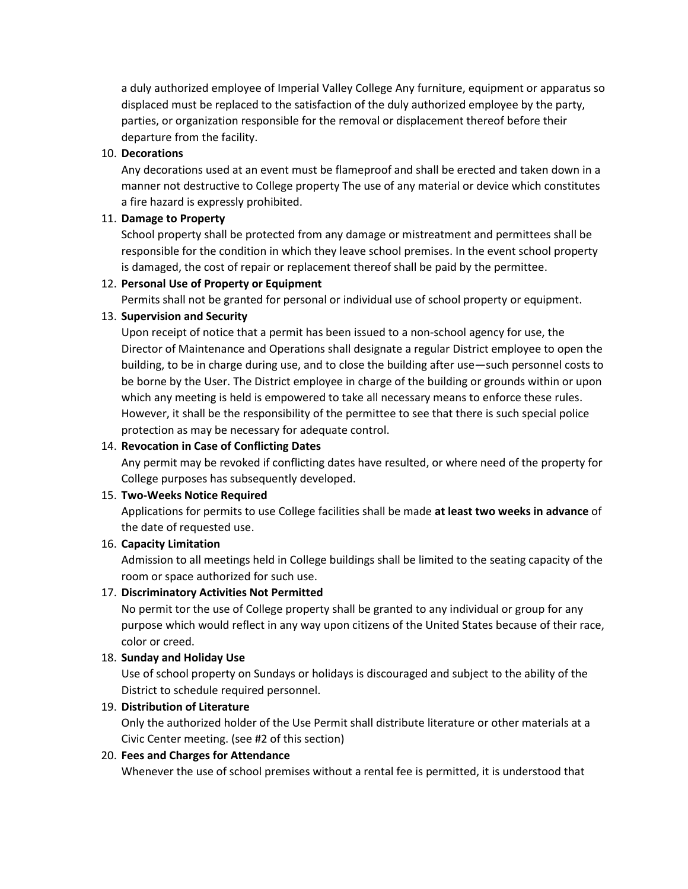a duly authorized employee of Imperial Valley College Any furniture, equipment or apparatus so displaced must be replaced to the satisfaction of the duly authorized employee by the party, parties, or organization responsible for the removal or displacement thereof before their departure from the facility.

## 10. **Decorations**

Any decorations used at an event must be flameproof and shall be erected and taken down in a manner not destructive to College property The use of any material or device which constitutes a fire hazard is expressly prohibited.

## 11. **Damage to Property**

School property shall be protected from any damage or mistreatment and permittees shall be responsible for the condition in which they leave school premises. In the event school property is damaged, the cost of repair or replacement thereof shall be paid by the permittee.

## 12. **Personal Use of Property or Equipment**

Permits shall not be granted for personal or individual use of school property or equipment.

## 13. **Supervision and Security**

Upon receipt of notice that a permit has been issued to a non-school agency for use, the Director of Maintenance and Operations shall designate a regular District employee to open the building, to be in charge during use, and to close the building after use—such personnel costs to be borne by the User. The District employee in charge of the building or grounds within or upon which any meeting is held is empowered to take all necessary means to enforce these rules. However, it shall be the responsibility of the permittee to see that there is such special police protection as may be necessary for adequate control.

# 14. **Revocation in Case of Conflicting Dates**

Any permit may be revoked if conflicting dates have resulted, or where need of the property for College purposes has subsequently developed.

## 15. **Two-Weeks Notice Required**

Applications for permits to use College facilities shall be made **at least two weeks in advance** of the date of requested use.

## 16. **Capacity Limitation**

Admission to all meetings held in College buildings shall be limited to the seating capacity of the room or space authorized for such use.

# 17. **Discriminatory Activities Not Permitted**

No permit tor the use of College property shall be granted to any individual or group for any purpose which would reflect in any way upon citizens of the United States because of their race, color or creed.

# 18. **Sunday and Holiday Use**

Use of school property on Sundays or holidays is discouraged and subject to the ability of the District to schedule required personnel.

# 19. **Distribution of Literature**

Only the authorized holder of the Use Permit shall distribute literature or other materials at a Civic Center meeting. (see #2 of this section)

# 20. **Fees and Charges for Attendance**

Whenever the use of school premises without a rental fee is permitted, it is understood that